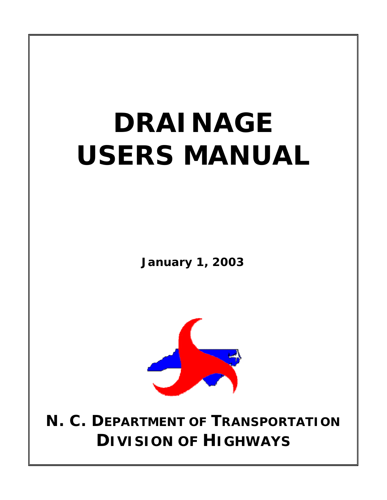# **DRAINAGE USERS MANUAL**

**January 1, 2003**



**N. C. DEPARTMENT OF TRANSPORTATION DIVISION OF HIGHWAYS**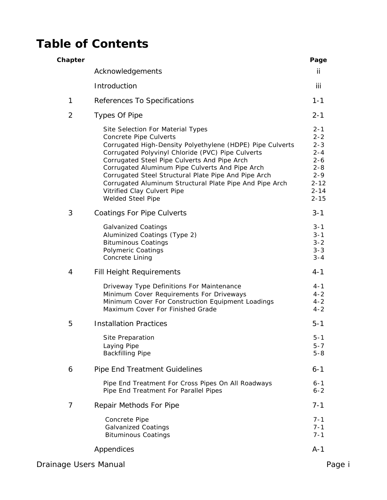# **Table of Contents**

| Chapter |                                                                                                                                                                                                                                                                                                                                                                                                                                                         | Page                                                                                                          |
|---------|---------------------------------------------------------------------------------------------------------------------------------------------------------------------------------------------------------------------------------------------------------------------------------------------------------------------------------------------------------------------------------------------------------------------------------------------------------|---------------------------------------------------------------------------------------------------------------|
|         | Acknowledgements                                                                                                                                                                                                                                                                                                                                                                                                                                        | ii.                                                                                                           |
|         | Introduction                                                                                                                                                                                                                                                                                                                                                                                                                                            | iii                                                                                                           |
| 1       | References To Specifications                                                                                                                                                                                                                                                                                                                                                                                                                            | $1 - 1$                                                                                                       |
| 2       | Types Of Pipe                                                                                                                                                                                                                                                                                                                                                                                                                                           | $2 - 1$                                                                                                       |
|         | Site Selection For Material Types<br>Concrete Pipe Culverts<br>Corrugated High-Density Polyethylene (HDPE) Pipe Culverts<br>Corrugated Polyvinyl Chloride (PVC) Pipe Culverts<br>Corrugated Steel Pipe Culverts And Pipe Arch<br>Corrugated Aluminum Pipe Culverts And Pipe Arch<br>Corrugated Steel Structural Plate Pipe And Pipe Arch<br>Corrugated Aluminum Structural Plate Pipe And Pipe Arch<br>Vitrified Clay Culvert Pipe<br>Welded Steel Pipe | $2 - 1$<br>$2 - 2$<br>$2 - 3$<br>$2 - 4$<br>$2 - 6$<br>$2 - 8$<br>$2 - 9$<br>$2 - 12$<br>$2 - 14$<br>$2 - 15$ |
| 3       | <b>Coatings For Pipe Culverts</b>                                                                                                                                                                                                                                                                                                                                                                                                                       | $3 - 1$                                                                                                       |
|         | <b>Galvanized Coatings</b><br>Aluminized Coatings (Type 2)<br><b>Bituminous Coatings</b><br><b>Polymeric Coatings</b><br>Concrete Lining                                                                                                                                                                                                                                                                                                                | $3 - 1$<br>$3 - 1$<br>$3 - 2$<br>$3 - 3$<br>$3 - 4$                                                           |
| 4       | Fill Height Requirements                                                                                                                                                                                                                                                                                                                                                                                                                                | $4 - 1$                                                                                                       |
|         | Driveway Type Definitions For Maintenance<br>Minimum Cover Requirements For Driveways<br>Minimum Cover For Construction Equipment Loadings<br>Maximum Cover For Finished Grade                                                                                                                                                                                                                                                                          | $4 - 1$<br>$4 - 2$<br>$4 - 2$<br>$4 - 2$                                                                      |
| 5       | <b>Installation Practices</b>                                                                                                                                                                                                                                                                                                                                                                                                                           | $5 - 1$                                                                                                       |
|         | Site Preparation<br>Laying Pipe<br><b>Backfilling Pipe</b>                                                                                                                                                                                                                                                                                                                                                                                              | 5-1<br>5-7<br>$5 - 8$                                                                                         |
| 6       | Pipe End Treatment Guidelines                                                                                                                                                                                                                                                                                                                                                                                                                           | $6 - 1$                                                                                                       |
|         | Pipe End Treatment For Cross Pipes On All Roadways<br>Pipe End Treatment For Parallel Pipes                                                                                                                                                                                                                                                                                                                                                             | $6 - 1$<br>$6 - 2$                                                                                            |
| 7       | Repair Methods For Pipe                                                                                                                                                                                                                                                                                                                                                                                                                                 | $7 - 1$                                                                                                       |
|         | Concrete Pipe<br><b>Galvanized Coatings</b><br><b>Bituminous Coatings</b>                                                                                                                                                                                                                                                                                                                                                                               | $7 - 1$<br>$7 - 1$<br>$7 - 1$                                                                                 |
|         | Appendices                                                                                                                                                                                                                                                                                                                                                                                                                                              | $A-1$                                                                                                         |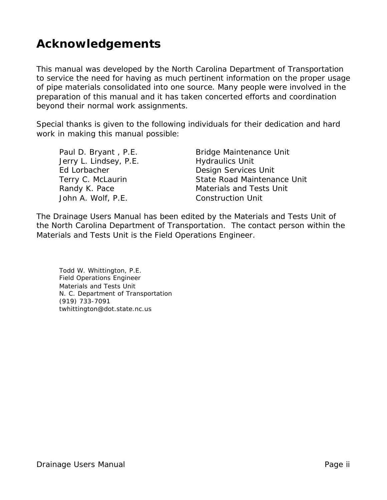# **Acknowledgements**

This manual was developed by the North Carolina Department of Transportation to service the need for having as much pertinent information on the proper usage of pipe materials consolidated into one source. Many people were involved in the preparation of this manual and it has taken concerted efforts and coordination beyond their normal work assignments.

Special thanks is given to the following individuals for their dedication and hard work in making this manual possible:

Jerry L. Lindsey, P.E. Hydraulics Unit Ed Lorbacher **Design Services Unit** John A. Wolf, P.E. Construction Unit

Paul D. Bryant, P.E. Bridge Maintenance Unit Terry C. McLaurin **State Road Maintenance Unit** Randy K. Pace Materials and Tests Unit

The Drainage Users Manual has been edited by the Materials and Tests Unit of the North Carolina Department of Transportation. The contact person within the Materials and Tests Unit is the Field Operations Engineer.

Todd W. Whittington, P.E. Field Operations Engineer Materials and Tests Unit N. C. Department of Transportation (919) 733-7091 twhittington@dot.state.nc.us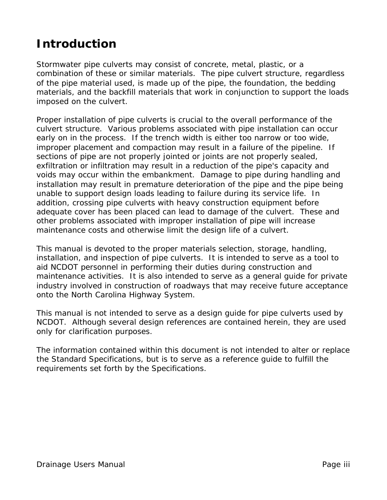# **Introduction**

Stormwater pipe culverts may consist of concrete, metal, plastic, or a combination of these or similar materials. The pipe culvert structure, regardless of the pipe material used, is made up of the pipe, the foundation, the bedding materials, and the backfill materials that work in conjunction to support the loads imposed on the culvert.

Proper installation of pipe culverts is crucial to the overall performance of the culvert structure. Various problems associated with pipe installation can occur early on in the process. If the trench width is either too narrow or too wide, improper placement and compaction may result in a failure of the pipeline. If sections of pipe are not properly jointed or joints are not properly sealed, exfiltration or infiltration may result in a reduction of the pipe's capacity and voids may occur within the embankment. Damage to pipe during handling and installation may result in premature deterioration of the pipe and the pipe being unable to support design loads leading to failure during its service life. In addition, crossing pipe culverts with heavy construction equipment before adequate cover has been placed can lead to damage of the culvert. These and other problems associated with improper installation of pipe will increase maintenance costs and otherwise limit the design life of a culvert.

This manual is devoted to the proper materials selection, storage, handling, installation, and inspection of pipe culverts. It is intended to serve as a tool to aid NCDOT personnel in performing their duties during construction and maintenance activities. It is also intended to serve as a general guide for private industry involved in construction of roadways that may receive future acceptance onto the North Carolina Highway System.

This manual is not intended to serve as a design guide for pipe culverts used by NCDOT. Although several design references are contained herein, they are used only for clarification purposes.

The information contained within this document is not intended to alter or replace the Standard Specifications, but is to serve as a reference guide to fulfill the requirements set forth by the Specifications.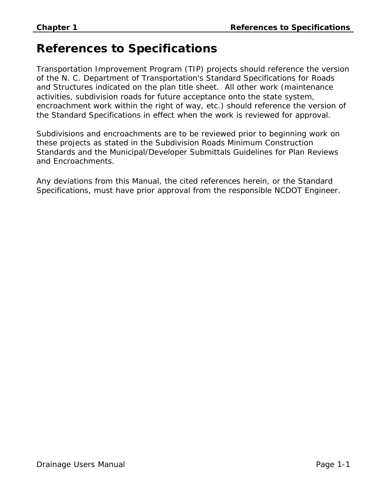# **References to Specifications**

Transportation Improvement Program (TIP) projects should reference the version of the N. C. Department of Transportation's Standard Specifications for Roads and Structures indicated on the plan title sheet. All other work (maintenance activities, subdivision roads for future acceptance onto the state system, encroachment work within the right of way, etc.) should reference the version of the Standard Specifications in effect when the work is reviewed for approval.

Subdivisions and encroachments are to be reviewed prior to beginning work on these projects as stated in the Subdivision Roads Minimum Construction Standards and the Municipal/Developer Submittals Guidelines for Plan Reviews and Encroachments.

Any deviations from this Manual, the cited references herein, or the Standard Specifications, must have prior approval from the responsible NCDOT Engineer.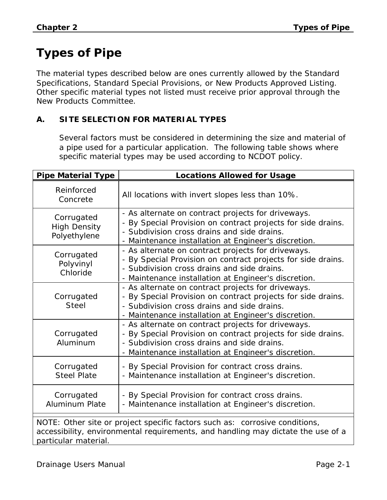# **Types of Pipe**

The material types described below are ones currently allowed by the Standard Specifications, Standard Special Provisions, or New Products Approved Listing. Other specific material types not listed must receive prior approval through the New Products Committee.

# **A. SITE SELECTION FOR MATERIAL TYPES**

Several factors must be considered in determining the size and material of a pipe used for a particular application. The following table shows where specific material types may be used according to NCDOT policy.

| <b>Pipe Material Type</b>                                                                                                                                       | <b>Locations Allowed for Usage</b>                                                                                                                                                                                                        |  |  |  |
|-----------------------------------------------------------------------------------------------------------------------------------------------------------------|-------------------------------------------------------------------------------------------------------------------------------------------------------------------------------------------------------------------------------------------|--|--|--|
| Reinforced<br>Concrete                                                                                                                                          | All locations with invert slopes less than 10%.                                                                                                                                                                                           |  |  |  |
| Corrugated<br><b>High Density</b><br>Polyethylene                                                                                                               | - As alternate on contract projects for driveways.<br>- By Special Provision on contract projects for side drains.<br>- Subdivision cross drains and side drains.<br>- Maintenance installation at Engineer's discretion.                 |  |  |  |
| Corrugated<br>Polyvinyl<br>Chloride                                                                                                                             | - As alternate on contract projects for driveways.<br>- By Special Provision on contract projects for side drains.<br>- Subdivision cross drains and side drains.<br>- Maintenance installation at Engineer's discretion.                 |  |  |  |
| Corrugated<br><b>Steel</b>                                                                                                                                      | - As alternate on contract projects for driveways.<br>By Special Provision on contract projects for side drains.<br>$\blacksquare$<br>- Subdivision cross drains and side drains.<br>- Maintenance installation at Engineer's discretion. |  |  |  |
| Corrugated<br>Aluminum                                                                                                                                          | - As alternate on contract projects for driveways.<br>- By Special Provision on contract projects for side drains.<br>- Subdivision cross drains and side drains.<br>- Maintenance installation at Engineer's discretion.                 |  |  |  |
| Corrugated<br><b>Steel Plate</b>                                                                                                                                | - By Special Provision for contract cross drains.<br>- Maintenance installation at Engineer's discretion.                                                                                                                                 |  |  |  |
| Corrugated<br><b>Aluminum Plate</b>                                                                                                                             | - By Special Provision for contract cross drains.<br>- Maintenance installation at Engineer's discretion.                                                                                                                                 |  |  |  |
| NOTE: Other site or project specific factors such as: corrosive conditions,<br>accessibility, environmental requirements, and handling may dictate the use of a |                                                                                                                                                                                                                                           |  |  |  |

particular material.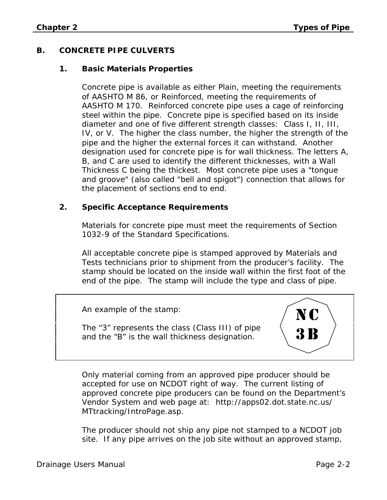# **B. CONCRETE PIPE CULVERTS**

#### **1. Basic Materials Properties**

Concrete pipe is available as either Plain, meeting the requirements of AASHTO M 86, or Reinforced, meeting the requirements of AASHTO M 170. Reinforced concrete pipe uses a cage of reinforcing steel within the pipe. Concrete pipe is specified based on its inside diameter and one of five different strength classes: Class I, II, III, IV, or V. The higher the class number, the higher the strength of the pipe and the higher the external forces it can withstand. Another designation used for concrete pipe is for wall thickness. The letters A, B, and C are used to identify the different thicknesses, with a Wall Thickness C being the thickest. Most concrete pipe uses a "tongue and groove" (also called "bell and spigot") connection that allows for the placement of sections end to end.

#### **2. Specific Acceptance Requirements**

Materials for concrete pipe must meet the requirements of Section 1032-9 of the Standard Specifications.

All acceptable concrete pipe is stamped approved by Materials and Tests technicians prior to shipment from the producer's facility. The stamp should be located on the inside wall within the first foot of the end of the pipe. The stamp will include the type and class of pipe.

An example of the stamp:

The "3" represents the class (Class III) of pipe and the "B" is the wall thickness designation.



Only material coming from an approved pipe producer should be accepted for use on NCDOT right of way. The current listing of approved concrete pipe producers can be found on the Department's Vendor System and web page at: http://apps02.dot.state.nc.us/ MTtracking/IntroPage.asp.

The producer should not ship any pipe not stamped to a NCDOT job site. If any pipe arrives on the job site without an approved stamp,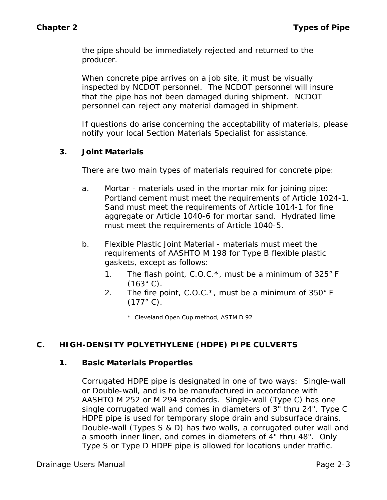the pipe should be immediately rejected and returned to the producer.

When concrete pipe arrives on a job site, it must be visually inspected by NCDOT personnel. The NCDOT personnel will insure that the pipe has not been damaged during shipment. NCDOT personnel can reject any material damaged in shipment.

If questions do arise concerning the acceptability of materials, please notify your local Section Materials Specialist for assistance.

## **3. Joint Materials**

There are two main types of materials required for concrete pipe:

- a. Mortar materials used in the mortar mix for joining pipe: Portland cement must meet the requirements of Article 1024-1. Sand must meet the requirements of Article 1014-1 for fine aggregate or Article 1040-6 for mortar sand. Hydrated lime must meet the requirements of Article 1040-5.
- b. Flexible Plastic Joint Material materials must meet the requirements of AASHTO M 198 for Type B flexible plastic gaskets, except as follows:
	- 1. The flash point, C.O.C. $^*$ , must be a minimum of 325 $^{\circ}$  F  $(163^{\circ} \text{ C})$ .
	- 2. The fire point, C.O.C.\*, must be a minimum of 350° F  $(177^{\circ} C).$

\* Cleveland Open Cup method, ASTM D 92

# **C. HIGH-DENSITY POLYETHYLENE (HDPE) PIPE CULVERTS**

#### **1. Basic Materials Properties**

Corrugated HDPE pipe is designated in one of two ways: Single-wall or Double-wall, and is to be manufactured in accordance with AASHTO M 252 or M 294 standards. Single-wall (Type C) has one single corrugated wall and comes in diameters of 3" thru 24". Type C HDPE pipe is used for temporary slope drain and subsurface drains. Double-wall (Types S & D) has two walls, a corrugated outer wall and a smooth inner liner, and comes in diameters of 4" thru 48". Only Type S or Type D HDPE pipe is allowed for locations under traffic.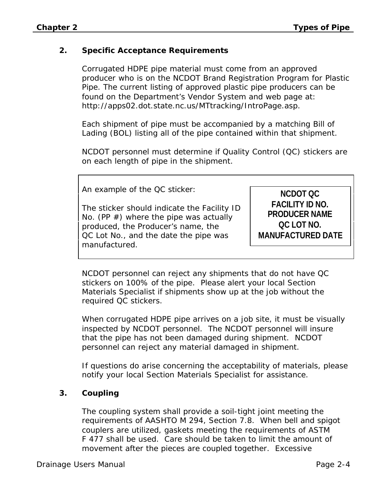#### **2. Specific Acceptance Requirements**

Corrugated HDPE pipe material must come from an approved producer who is on the NCDOT Brand Registration Program for Plastic Pipe. The current listing of approved plastic pipe producers can be found on the Department's Vendor System and web page at: http://apps02.dot.state.nc.us/MTtracking/IntroPage.asp.

Each shipment of pipe must be accompanied by a matching Bill of Lading (BOL) listing all of the pipe contained within that shipment.

NCDOT personnel must determine if Quality Control (QC) stickers are on each length of pipe in the shipment.

An example of the QC sticker:

The sticker should indicate the Facility ID No. (PP  $#$ ) where the pipe was actually produced, the Producer's name, the QC Lot No., and the date the pipe was manufactured.

**NCDOT QC FACILITY ID NO. PRODUCER NAME QC LOT NO. MANUFACTURED DATE**

NCDOT personnel can reject any shipments that do not have QC stickers on 100% of the pipe. Please alert your local Section Materials Specialist if shipments show up at the job without the required QC stickers.

When corrugated HDPE pipe arrives on a job site, it must be visually inspected by NCDOT personnel. The NCDOT personnel will insure that the pipe has not been damaged during shipment. NCDOT personnel can reject any material damaged in shipment.

If questions do arise concerning the acceptability of materials, please notify your local Section Materials Specialist for assistance.

#### **3. Coupling**

The coupling system shall provide a soil-tight joint meeting the requirements of AASHTO M 294, Section 7.8. When bell and spigot couplers are utilized, gaskets meeting the requirements of ASTM F 477 shall be used. Care should be taken to limit the amount of movement after the pieces are coupled together. Excessive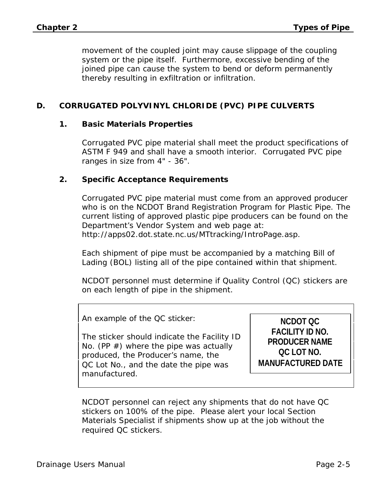movement of the coupled joint may cause slippage of the coupling system or the pipe itself. Furthermore, excessive bending of the joined pipe can cause the system to bend or deform permanently thereby resulting in exfiltration or infiltration.

#### **D. CORRUGATED POLYVINYL CHLORIDE (PVC) PIPE CULVERTS**

#### **1. Basic Materials Properties**

Corrugated PVC pipe material shall meet the product specifications of ASTM F 949 and shall have a smooth interior. Corrugated PVC pipe ranges in size from 4" - 36".

#### **2. Specific Acceptance Requirements**

Corrugated PVC pipe material must come from an approved producer who is on the NCDOT Brand Registration Program for Plastic Pipe. The current listing of approved plastic pipe producers can be found on the Department's Vendor System and web page at: http://apps02.dot.state.nc.us/MTtracking/IntroPage.asp.

Each shipment of pipe must be accompanied by a matching Bill of Lading (BOL) listing all of the pipe contained within that shipment.

NCDOT personnel must determine if Quality Control (QC) stickers are on each length of pipe in the shipment.

An example of the QC sticker:

The sticker should indicate the Facility ID No. (PP  $#$ ) where the pipe was actually produced, the Producer's name, the QC Lot No., and the date the pipe was manufactured.

**NCDOT QC FACILITY ID NO. PRODUCER NAME QC LOT NO. MANUFACTURED DATE**

NCDOT personnel can reject any shipments that do not have QC stickers on 100% of the pipe. Please alert your local Section Materials Specialist if shipments show up at the job without the required QC stickers.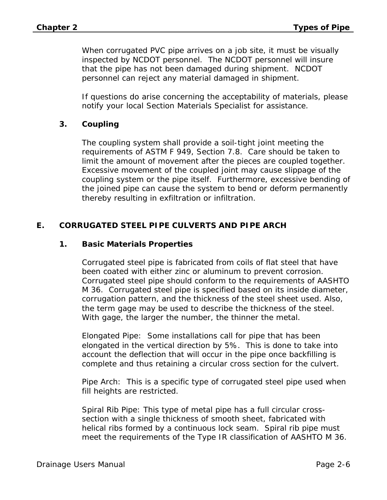When corrugated PVC pipe arrives on a job site, it must be visually inspected by NCDOT personnel. The NCDOT personnel will insure that the pipe has not been damaged during shipment. NCDOT personnel can reject any material damaged in shipment.

If questions do arise concerning the acceptability of materials, please notify your local Section Materials Specialist for assistance.

#### **3. Coupling**

The coupling system shall provide a soil-tight joint meeting the requirements of ASTM F 949, Section 7.8. Care should be taken to limit the amount of movement after the pieces are coupled together. Excessive movement of the coupled joint may cause slippage of the coupling system or the pipe itself. Furthermore, excessive bending of the joined pipe can cause the system to bend or deform permanently thereby resulting in exfiltration or infiltration.

## **E. CORRUGATED STEEL PIPE CULVERTS AND PIPE ARCH**

#### **1. Basic Materials Properties**

Corrugated steel pipe is fabricated from coils of flat steel that have been coated with either zinc or aluminum to prevent corrosion. Corrugated steel pipe should conform to the requirements of AASHTO M 36. Corrugated steel pipe is specified based on its inside diameter, corrugation pattern, and the thickness of the steel sheet used. Also, the term gage may be used to describe the thickness of the steel. With gage, the larger the number, the thinner the metal.

Elongated Pipe: Some installations call for pipe that has been elongated in the vertical direction by 5%. This is done to take into account the deflection that will occur in the pipe once backfilling is complete and thus retaining a circular cross section for the culvert.

Pipe Arch: This is a specific type of corrugated steel pipe used when fill heights are restricted.

Spiral Rib Pipe: This type of metal pipe has a full circular crosssection with a single thickness of smooth sheet, fabricated with helical ribs formed by a continuous lock seam. Spiral rib pipe must meet the requirements of the Type IR classification of AASHTO M 36.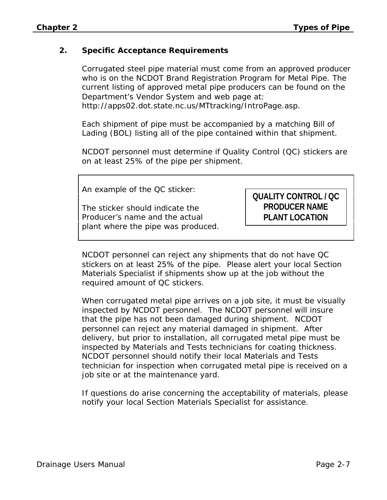#### **2. Specific Acceptance Requirements**

Corrugated steel pipe material must come from an approved producer who is on the NCDOT Brand Registration Program for Metal Pipe. The current listing of approved metal pipe producers can be found on the Department's Vendor System and web page at: http://apps02.dot.state.nc.us/MTtracking/IntroPage.asp.

Each shipment of pipe must be accompanied by a matching Bill of Lading (BOL) listing all of the pipe contained within that shipment.

NCDOT personnel must determine if Quality Control (QC) stickers are on at least 25% of the pipe per shipment.

An example of the QC sticker:

The sticker should indicate the Producer's name and the actual plant where the pipe was produced.

# **QUALITY CONTROL / QC PRODUCER NAME PLANT LOCATION**

NCDOT personnel can reject any shipments that do not have QC stickers on at least 25% of the pipe. Please alert your local Section Materials Specialist if shipments show up at the job without the required amount of QC stickers.

When corrugated metal pipe arrives on a job site, it must be visually inspected by NCDOT personnel. The NCDOT personnel will insure that the pipe has not been damaged during shipment. NCDOT personnel can reject any material damaged in shipment. After delivery, but prior to installation, all corrugated metal pipe must be inspected by Materials and Tests technicians for coating thickness. NCDOT personnel should notify their local Materials and Tests technician for inspection when corrugated metal pipe is received on a job site or at the maintenance yard.

If questions do arise concerning the acceptability of materials, please notify your local Section Materials Specialist for assistance.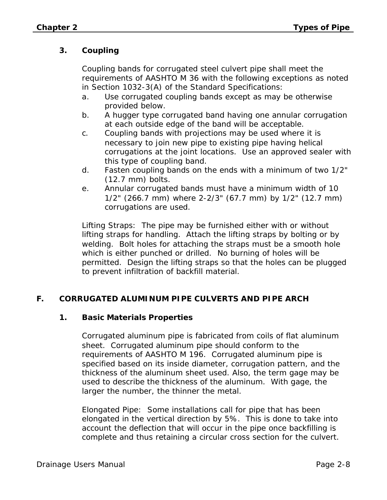# **3. Coupling**

Coupling bands for corrugated steel culvert pipe shall meet the requirements of AASHTO M 36 with the following exceptions as noted in Section 1032-3(A) of the Standard Specifications:

- a. Use corrugated coupling bands except as may be otherwise provided below.
- b. A hugger type corrugated band having one annular corrugation at each outside edge of the band will be acceptable.
- c. Coupling bands with projections may be used where it is necessary to join new pipe to existing pipe having helical corrugations at the joint locations. Use an approved sealer with this type of coupling band.
- d. Fasten coupling bands on the ends with a minimum of two 1/2" (12.7 mm) bolts.
- e. Annular corrugated bands must have a minimum width of 10 1/2" (266.7 mm) where 2-2/3" (67.7 mm) by 1/2" (12.7 mm) corrugations are used.

Lifting Straps: The pipe may be furnished either with or without lifting straps for handling. Attach the lifting straps by bolting or by welding. Bolt holes for attaching the straps must be a smooth hole which is either punched or drilled. No burning of holes will be permitted. Design the lifting straps so that the holes can be plugged to prevent infiltration of backfill material.

# **F. CORRUGATED ALUMINUM PIPE CULVERTS AND PIPE ARCH**

#### **1. Basic Materials Properties**

Corrugated aluminum pipe is fabricated from coils of flat aluminum sheet. Corrugated aluminum pipe should conform to the requirements of AASHTO M 196. Corrugated aluminum pipe is specified based on its inside diameter, corrugation pattern, and the thickness of the aluminum sheet used. Also, the term gage may be used to describe the thickness of the aluminum. With gage, the larger the number, the thinner the metal.

Elongated Pipe: Some installations call for pipe that has been elongated in the vertical direction by 5%. This is done to take into account the deflection that will occur in the pipe once backfilling is complete and thus retaining a circular cross section for the culvert.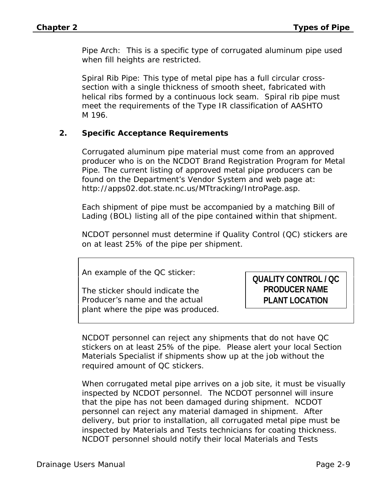Pipe Arch: This is a specific type of corrugated aluminum pipe used when fill heights are restricted.

Spiral Rib Pipe: This type of metal pipe has a full circular crosssection with a single thickness of smooth sheet, fabricated with helical ribs formed by a continuous lock seam. Spiral rib pipe must meet the requirements of the Type IR classification of AASHTO M 196.

#### **2. Specific Acceptance Requirements**

Corrugated aluminum pipe material must come from an approved producer who is on the NCDOT Brand Registration Program for Metal Pipe. The current listing of approved metal pipe producers can be found on the Department's Vendor System and web page at: http://apps02.dot.state.nc.us/MTtracking/IntroPage.asp.

Each shipment of pipe must be accompanied by a matching Bill of Lading (BOL) listing all of the pipe contained within that shipment.

NCDOT personnel must determine if Quality Control (QC) stickers are on at least 25% of the pipe per shipment.

An example of the QC sticker:

The sticker should indicate the Producer's name and the actual plant where the pipe was produced. **QUALITY CONTROL / QC PRODUCER NAME PLANT LOCATION**

NCDOT personnel can reject any shipments that do not have QC stickers on at least 25% of the pipe. Please alert your local Section Materials Specialist if shipments show up at the job without the required amount of QC stickers.

When corrugated metal pipe arrives on a job site, it must be visually inspected by NCDOT personnel. The NCDOT personnel will insure that the pipe has not been damaged during shipment. NCDOT personnel can reject any material damaged in shipment. After delivery, but prior to installation, all corrugated metal pipe must be inspected by Materials and Tests technicians for coating thickness. NCDOT personnel should notify their local Materials and Tests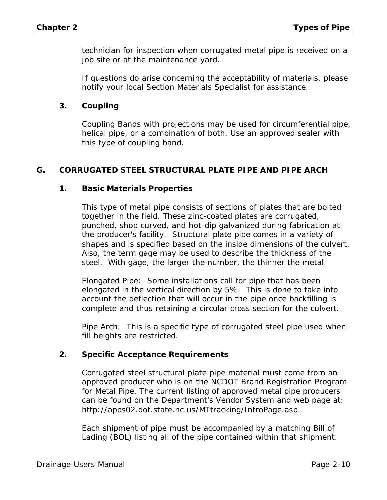technician for inspection when corrugated metal pipe is received on a job site or at the maintenance yard.

If questions do arise concerning the acceptability of materials, please notify your local Section Materials Specialist for assistance.

#### **3. Coupling**

Coupling Bands with projections may be used for circumferential pipe, helical pipe, or a combination of both. Use an approved sealer with this type of coupling band.

#### **G. CORRUGATED STEEL STRUCTURAL PLATE PIPE AND PIPE ARCH**

#### **1. Basic Materials Properties**

This type of metal pipe consists of sections of plates that are bolted together in the field. These zinc-coated plates are corrugated, punched, shop curved, and hot-dip galvanized during fabrication at the producer's facility. Structural plate pipe comes in a variety of shapes and is specified based on the inside dimensions of the culvert. Also, the term gage may be used to describe the thickness of the steel. With gage, the larger the number, the thinner the metal.

Elongated Pipe: Some installations call for pipe that has been elongated in the vertical direction by 5%. This is done to take into account the deflection that will occur in the pipe once backfilling is complete and thus retaining a circular cross section for the culvert.

Pipe Arch: This is a specific type of corrugated steel pipe used when fill heights are restricted.

#### **2. Specific Acceptance Requirements**

Corrugated steel structural plate pipe material must come from an approved producer who is on the NCDOT Brand Registration Program for Metal Pipe. The current listing of approved metal pipe producers can be found on the Department's Vendor System and web page at: http://apps02.dot.state.nc.us/MTtracking/IntroPage.asp.

Each shipment of pipe must be accompanied by a matching Bill of Lading (BOL) listing all of the pipe contained within that shipment.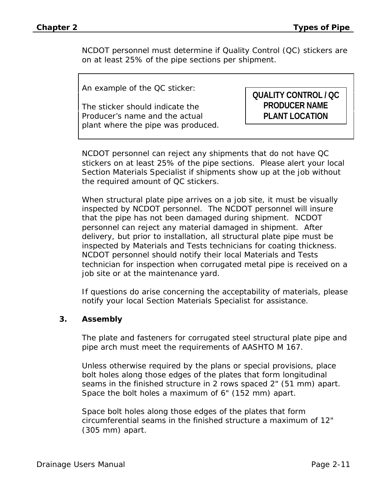NCDOT personnel must determine if Quality Control (QC) stickers are on at least 25% of the pipe sections per shipment.

An example of the QC sticker:

The sticker should indicate the Producer's name and the actual plant where the pipe was produced.

# **QUALITY CONTROL / QC PRODUCER NAME PLANT LOCATION**

NCDOT personnel can reject any shipments that do not have QC stickers on at least 25% of the pipe sections. Please alert your local Section Materials Specialist if shipments show up at the job without the required amount of QC stickers.

When structural plate pipe arrives on a job site, it must be visually inspected by NCDOT personnel. The NCDOT personnel will insure that the pipe has not been damaged during shipment. NCDOT personnel can reject any material damaged in shipment. After delivery, but prior to installation, all structural plate pipe must be inspected by Materials and Tests technicians for coating thickness. NCDOT personnel should notify their local Materials and Tests technician for inspection when corrugated metal pipe is received on a job site or at the maintenance yard.

If questions do arise concerning the acceptability of materials, please notify your local Section Materials Specialist for assistance.

#### **3. Assembly**

The plate and fasteners for corrugated steel structural plate pipe and pipe arch must meet the requirements of AASHTO M 167.

Unless otherwise required by the plans or special provisions, place bolt holes along those edges of the plates that form longitudinal seams in the finished structure in 2 rows spaced 2" (51 mm) apart. Space the bolt holes a maximum of 6" (152 mm) apart.

Space bolt holes along those edges of the plates that form circumferential seams in the finished structure a maximum of 12" (305 mm) apart.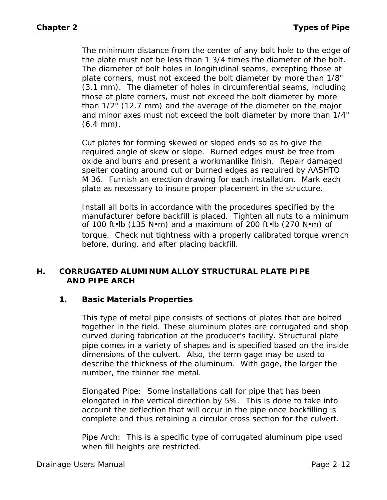The minimum distance from the center of any bolt hole to the edge of the plate must not be less than 1 3/4 times the diameter of the bolt. The diameter of bolt holes in longitudinal seams, excepting those at plate corners, must not exceed the bolt diameter by more than 1/8" (3.1 mm). The diameter of holes in circumferential seams, including those at plate corners, must not exceed the bolt diameter by more than 1/2" (12.7 mm) and the average of the diameter on the major and minor axes must not exceed the bolt diameter by more than 1/4"  $(6.4 \, \text{mm})$ .

Cut plates for forming skewed or sloped ends so as to give the required angle of skew or slope. Burned edges must be free from oxide and burrs and present a workmanlike finish. Repair damaged spelter coating around cut or burned edges as required by AASHTO M 36. Furnish an erection drawing for each installation. Mark each plate as necessary to insure proper placement in the structure.

Install all bolts in accordance with the procedures specified by the manufacturer before backfill is placed. Tighten all nuts to a minimum of 100 ft•lb (135 N•m) and a maximum of 200 ft•lb (270 N•m) of torque. Check nut tightness with a properly calibrated torque wrench before, during, and after placing backfill.

#### **H. CORRUGATED ALUMINUM ALLOY STRUCTURAL PLATE PIPE AND PIPE ARCH**

#### **1. Basic Materials Properties**

This type of metal pipe consists of sections of plates that are bolted together in the field. These aluminum plates are corrugated and shop curved during fabrication at the producer's facility. Structural plate pipe comes in a variety of shapes and is specified based on the inside dimensions of the culvert. Also, the term gage may be used to describe the thickness of the aluminum. With gage, the larger the number, the thinner the metal.

Elongated Pipe: Some installations call for pipe that has been elongated in the vertical direction by 5%. This is done to take into account the deflection that will occur in the pipe once backfilling is complete and thus retaining a circular cross section for the culvert.

Pipe Arch: This is a specific type of corrugated aluminum pipe used when fill heights are restricted.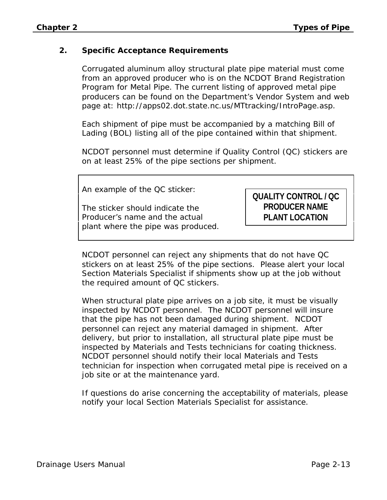#### **2. Specific Acceptance Requirements**

Corrugated aluminum alloy structural plate pipe material must come from an approved producer who is on the NCDOT Brand Registration Program for Metal Pipe. The current listing of approved metal pipe producers can be found on the Department's Vendor System and web page at: http://apps02.dot.state.nc.us/MTtracking/IntroPage.asp.

Each shipment of pipe must be accompanied by a matching Bill of Lading (BOL) listing all of the pipe contained within that shipment.

NCDOT personnel must determine if Quality Control (QC) stickers are on at least 25% of the pipe sections per shipment.

An example of the QC sticker:

The sticker should indicate the Producer's name and the actual plant where the pipe was produced.

# **QUALITY CONTROL / QC PRODUCER NAME PLANT LOCATION**

NCDOT personnel can reject any shipments that do not have QC stickers on at least 25% of the pipe sections. Please alert your local Section Materials Specialist if shipments show up at the job without the required amount of QC stickers.

When structural plate pipe arrives on a job site, it must be visually inspected by NCDOT personnel. The NCDOT personnel will insure that the pipe has not been damaged during shipment. NCDOT personnel can reject any material damaged in shipment. After delivery, but prior to installation, all structural plate pipe must be inspected by Materials and Tests technicians for coating thickness. NCDOT personnel should notify their local Materials and Tests technician for inspection when corrugated metal pipe is received on a job site or at the maintenance yard.

If questions do arise concerning the acceptability of materials, please notify your local Section Materials Specialist for assistance.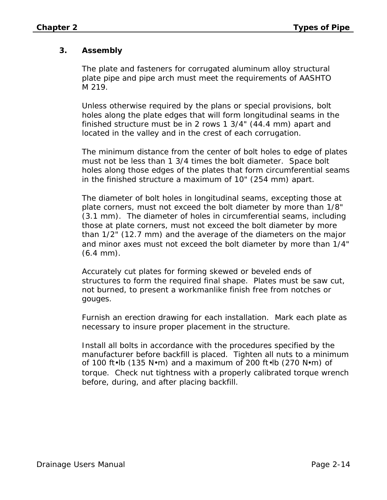# **3. Assembly**

The plate and fasteners for corrugated aluminum alloy structural plate pipe and pipe arch must meet the requirements of AASHTO M 219.

Unless otherwise required by the plans or special provisions, bolt holes along the plate edges that will form longitudinal seams in the finished structure must be in 2 rows 1 3/4" (44.4 mm) apart and located in the valley and in the crest of each corrugation.

The minimum distance from the center of bolt holes to edge of plates must not be less than 1 3/4 times the bolt diameter. Space bolt holes along those edges of the plates that form circumferential seams in the finished structure a maximum of 10" (254 mm) apart.

The diameter of bolt holes in longitudinal seams, excepting those at plate corners, must not exceed the bolt diameter by more than 1/8" (3.1 mm). The diameter of holes in circumferential seams, including those at plate corners, must not exceed the bolt diameter by more than 1/2" (12.7 mm) and the average of the diameters on the major and minor axes must not exceed the bolt diameter by more than 1/4" (6.4 mm).

Accurately cut plates for forming skewed or beveled ends of structures to form the required final shape. Plates must be saw cut, not burned, to present a workmanlike finish free from notches or gouges.

Furnish an erection drawing for each installation. Mark each plate as necessary to insure proper placement in the structure.

Install all bolts in accordance with the procedures specified by the manufacturer before backfill is placed. Tighten all nuts to a minimum of 100 ft•lb (135 N•m) and a maximum of 200 ft•lb (270 N•m) of torque. Check nut tightness with a properly calibrated torque wrench before, during, and after placing backfill.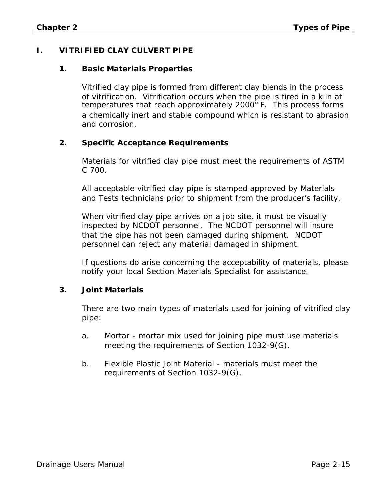# **I. VITRIFIED CLAY CULVERT PIPE**

#### **1. Basic Materials Properties**

Vitrified clay pipe is formed from different clay blends in the process of vitrification. Vitrification occurs when the pipe is fired in a kiln at temperatures that reach approximately 2000<sup>°</sup> F. This process forms a chemically inert and stable compound which is resistant to abrasion and corrosion.

#### **2. Specific Acceptance Requirements**

Materials for vitrified clay pipe must meet the requirements of ASTM C 700.

All acceptable vitrified clay pipe is stamped approved by Materials and Tests technicians prior to shipment from the producer's facility.

When vitrified clay pipe arrives on a job site, it must be visually inspected by NCDOT personnel. The NCDOT personnel will insure that the pipe has not been damaged during shipment. NCDOT personnel can reject any material damaged in shipment.

If questions do arise concerning the acceptability of materials, please notify your local Section Materials Specialist for assistance.

#### **3. Joint Materials**

There are two main types of materials used for joining of vitrified clay pipe:

- a. Mortar mortar mix used for joining pipe must use materials meeting the requirements of Section 1032-9(G).
- b. Flexible Plastic Joint Material materials must meet the requirements of Section 1032-9(G).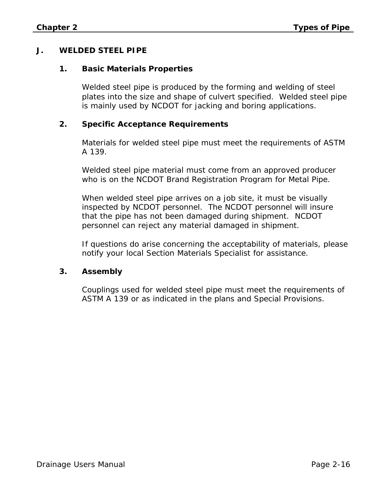#### **J. WELDED STEEL PIPE**

#### **1. Basic Materials Properties**

Welded steel pipe is produced by the forming and welding of steel plates into the size and shape of culvert specified. Welded steel pipe is mainly used by NCDOT for jacking and boring applications.

#### **2. Specific Acceptance Requirements**

Materials for welded steel pipe must meet the requirements of ASTM A 139.

Welded steel pipe material must come from an approved producer who is on the NCDOT Brand Registration Program for Metal Pipe.

When welded steel pipe arrives on a job site, it must be visually inspected by NCDOT personnel. The NCDOT personnel will insure that the pipe has not been damaged during shipment. NCDOT personnel can reject any material damaged in shipment.

If questions do arise concerning the acceptability of materials, please notify your local Section Materials Specialist for assistance.

#### **3. Assembly**

Couplings used for welded steel pipe must meet the requirements of ASTM A 139 or as indicated in the plans and Special Provisions.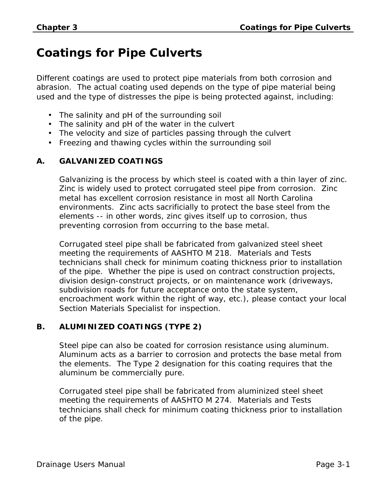# **Coatings for Pipe Culverts**

Different coatings are used to protect pipe materials from both corrosion and abrasion. The actual coating used depends on the type of pipe material being used and the type of distresses the pipe is being protected against, including:

- The salinity and pH of the surrounding soil
- The salinity and pH of the water in the culvert
- The velocity and size of particles passing through the culvert
- Freezing and thawing cycles within the surrounding soil

#### **A. GALVANIZED COATINGS**

Galvanizing is the process by which steel is coated with a thin layer of zinc. Zinc is widely used to protect corrugated steel pipe from corrosion. Zinc metal has excellent corrosion resistance in most all North Carolina environments. Zinc acts sacrificially to protect the base steel from the elements -- in other words, zinc gives itself up to corrosion, thus preventing corrosion from occurring to the base metal.

Corrugated steel pipe shall be fabricated from galvanized steel sheet meeting the requirements of AASHTO M 218. Materials and Tests technicians shall check for minimum coating thickness prior to installation of the pipe. Whether the pipe is used on contract construction projects, division design-construct projects, or on maintenance work (driveways, subdivision roads for future acceptance onto the state system, encroachment work within the right of way, etc.), please contact your local Section Materials Specialist for inspection.

#### **B. ALUMINIZED COATINGS (TYPE 2)**

Steel pipe can also be coated for corrosion resistance using aluminum. Aluminum acts as a barrier to corrosion and protects the base metal from the elements. The Type 2 designation for this coating requires that the aluminum be commercially pure.

Corrugated steel pipe shall be fabricated from aluminized steel sheet meeting the requirements of AASHTO M 274. Materials and Tests technicians shall check for minimum coating thickness prior to installation of the pipe.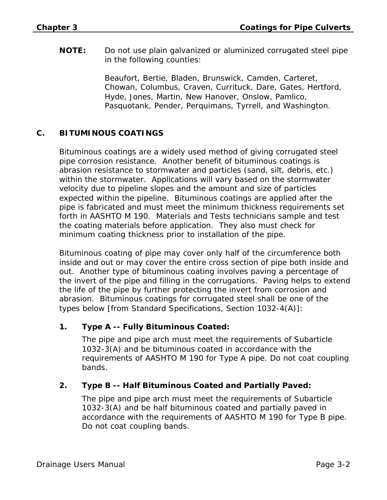**NOTE:** Do not use plain galvanized or aluminized corrugated steel pipe in the following counties:

> Beaufort, Bertie, Bladen, Brunswick, Camden, Carteret, Chowan, Columbus, Craven, Currituck, Dare, Gates, Hertford, Hyde, Jones, Martin, New Hanover, Onslow, Pamlico, Pasquotank, Pender, Perquimans, Tyrrell, and Washington.

## **C. BITUMINOUS COATINGS**

Bituminous coatings are a widely used method of giving corrugated steel pipe corrosion resistance. Another benefit of bituminous coatings is abrasion resistance to stormwater and particles (sand, silt, debris, etc.) within the stormwater. Applications will vary based on the stormwater velocity due to pipeline slopes and the amount and size of particles expected within the pipeline. Bituminous coatings are applied after the pipe is fabricated and must meet the minimum thickness requirements set forth in AASHTO M 190. Materials and Tests technicians sample and test the coating materials before application. They also must check for minimum coating thickness prior to installation of the pipe.

Bituminous coating of pipe may cover only half of the circumference both inside and out or may cover the entire cross section of pipe both inside and out. Another type of bituminous coating involves paving a percentage of the invert of the pipe and filling in the corrugations. Paving helps to extend the life of the pipe by further protecting the invert from corrosion and abrasion. Bituminous coatings for corrugated steel shall be one of the types below [from Standard Specifications, Section 1032-4(A)]:

#### **1. Type A -- Fully Bituminous Coated:**

The pipe and pipe arch must meet the requirements of Subarticle 1032-3(A) and be bituminous coated in accordance with the requirements of AASHTO M 190 for Type A pipe. Do not coat coupling bands.

#### **2. Type B -- Half Bituminous Coated and Partially Paved:**

The pipe and pipe arch must meet the requirements of Subarticle 1032-3(A) and be half bituminous coated and partially paved in accordance with the requirements of AASHTO M 190 for Type B pipe. Do not coat coupling bands.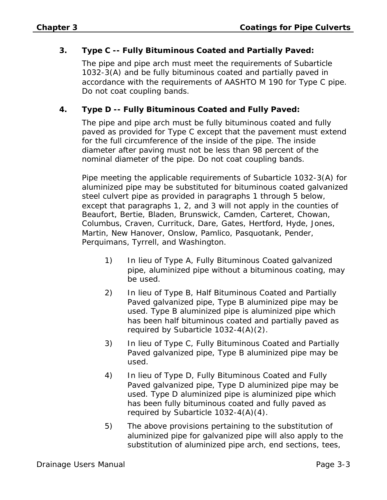#### **3. Type C -- Fully Bituminous Coated and Partially Paved:**

The pipe and pipe arch must meet the requirements of Subarticle 1032-3(A) and be fully bituminous coated and partially paved in accordance with the requirements of AASHTO M 190 for Type C pipe. Do not coat coupling bands.

## **4. Type D -- Fully Bituminous Coated and Fully Paved:**

The pipe and pipe arch must be fully bituminous coated and fully paved as provided for Type C except that the pavement must extend for the full circumference of the inside of the pipe. The inside diameter after paving must not be less than 98 percent of the nominal diameter of the pipe. Do not coat coupling bands.

Pipe meeting the applicable requirements of Subarticle 1032-3(A) for aluminized pipe may be substituted for bituminous coated galvanized steel culvert pipe as provided in paragraphs 1 through 5 below, except that paragraphs 1, 2, and 3 will not apply in the counties of Beaufort, Bertie, Bladen, Brunswick, Camden, Carteret, Chowan, Columbus, Craven, Currituck, Dare, Gates, Hertford, Hyde, Jones, Martin, New Hanover, Onslow, Pamlico, Pasquotank, Pender, Perquimans, Tyrrell, and Washington.

- 1) In lieu of Type A, Fully Bituminous Coated galvanized pipe, aluminized pipe without a bituminous coating, may be used.
- 2) In lieu of Type B, Half Bituminous Coated and Partially Paved galvanized pipe, Type B aluminized pipe may be used. Type B aluminized pipe is aluminized pipe which has been half bituminous coated and partially paved as required by Subarticle 1032-4(A)(2).
- 3) In lieu of Type C, Fully Bituminous Coated and Partially Paved galvanized pipe, Type B aluminized pipe may be used.
- 4) In lieu of Type D, Fully Bituminous Coated and Fully Paved galvanized pipe, Type D aluminized pipe may be used. Type D aluminized pipe is aluminized pipe which has been fully bituminous coated and fully paved as required by Subarticle 1032-4(A)(4).
- 5) The above provisions pertaining to the substitution of aluminized pipe for galvanized pipe will also apply to the substitution of aluminized pipe arch, end sections, tees,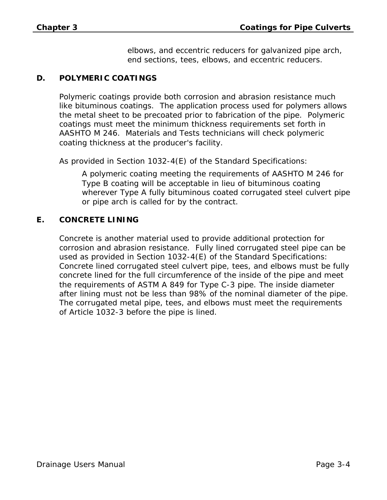elbows, and eccentric reducers for galvanized pipe arch, end sections, tees, elbows, and eccentric reducers.

#### **D. POLYMERIC COATINGS**

Polymeric coatings provide both corrosion and abrasion resistance much like bituminous coatings. The application process used for polymers allows the metal sheet to be precoated prior to fabrication of the pipe. Polymeric coatings must meet the minimum thickness requirements set forth in AASHTO M 246. Materials and Tests technicians will check polymeric coating thickness at the producer's facility.

As provided in Section 1032-4(E) of the Standard Specifications:

A polymeric coating meeting the requirements of AASHTO M 246 for Type B coating will be acceptable in lieu of bituminous coating wherever Type A fully bituminous coated corrugated steel culvert pipe or pipe arch is called for by the contract.

#### **E. CONCRETE LINING**

Concrete is another material used to provide additional protection for corrosion and abrasion resistance. Fully lined corrugated steel pipe can be used as provided in Section 1032-4(E) of the Standard Specifications: Concrete lined corrugated steel culvert pipe, tees, and elbows must be fully concrete lined for the full circumference of the inside of the pipe and meet the requirements of ASTM A 849 for Type C-3 pipe. The inside diameter after lining must not be less than 98% of the nominal diameter of the pipe. The corrugated metal pipe, tees, and elbows must meet the requirements of Article 1032-3 before the pipe is lined.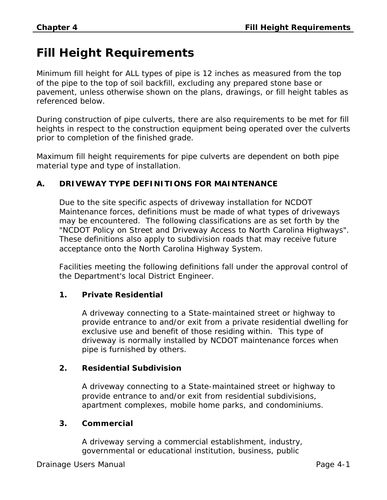# **Fill Height Requirements**

Minimum fill height for ALL types of pipe is 12 inches as measured from the top of the pipe to the top of soil backfill, excluding any prepared stone base or pavement, unless otherwise shown on the plans, drawings, or fill height tables as referenced below.

During construction of pipe culverts, there are also requirements to be met for fill heights in respect to the construction equipment being operated over the culverts prior to completion of the finished grade.

Maximum fill height requirements for pipe culverts are dependent on both pipe material type and type of installation.

## **A. DRIVEWAY TYPE DEFINITIONS FOR MAINTENANCE**

Due to the site specific aspects of driveway installation for NCDOT Maintenance forces, definitions must be made of what types of driveways may be encountered. The following classifications are as set forth by the "NCDOT Policy on Street and Driveway Access to North Carolina Highways". These definitions also apply to subdivision roads that may receive future acceptance onto the North Carolina Highway System.

Facilities meeting the following definitions fall under the approval control of the Department's local District Engineer.

#### **1. Private Residential**

A driveway connecting to a State-maintained street or highway to provide entrance to and/or exit from a private residential dwelling for exclusive use and benefit of those residing within. This type of driveway is normally installed by NCDOT maintenance forces when pipe is furnished by others.

#### **2. Residential Subdivision**

A driveway connecting to a State-maintained street or highway to provide entrance to and/or exit from residential subdivisions, apartment complexes, mobile home parks, and condominiums.

#### **3. Commercial**

A driveway serving a commercial establishment, industry, governmental or educational institution, business, public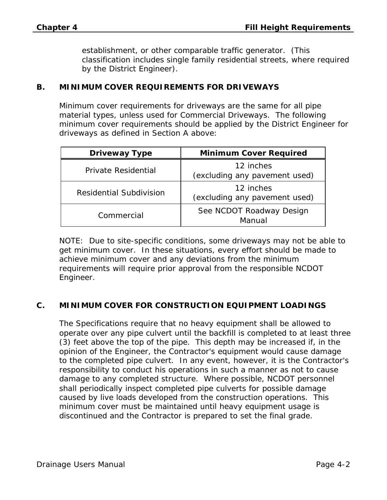establishment, or other comparable traffic generator. (This classification includes single family residential streets, where required by the District Engineer).

#### **B. MINIMUM COVER REQUIREMENTS FOR DRIVEWAYS**

Minimum cover requirements for driveways are the same for all pipe material types, unless used for Commercial Driveways. The following minimum cover requirements should be applied by the District Engineer for driveways as defined in Section A above:

| <b>Driveway Type</b>           | <b>Minimum Cover Required</b>              |
|--------------------------------|--------------------------------------------|
| Private Residential            | 12 inches<br>(excluding any pavement used) |
| <b>Residential Subdivision</b> | 12 inches<br>(excluding any pavement used) |
| Commercial                     | See NCDOT Roadway Design<br>Manual         |

NOTE: Due to site-specific conditions, some driveways may not be able to get minimum cover. In these situations, every effort should be made to achieve minimum cover and any deviations from the minimum requirements will require prior approval from the responsible NCDOT Engineer.

#### **C. MINIMUM COVER FOR CONSTRUCTION EQUIPMENT LOADINGS**

The Specifications require that no heavy equipment shall be allowed to operate over any pipe culvert until the backfill is completed to at least three (3) feet above the top of the pipe. This depth may be increased if, in the opinion of the Engineer, the Contractor's equipment would cause damage to the completed pipe culvert. In any event, however, it is the Contractor's responsibility to conduct his operations in such a manner as not to cause damage to any completed structure. Where possible, NCDOT personnel shall periodically inspect completed pipe culverts for possible damage caused by live loads developed from the construction operations. This minimum cover must be maintained until heavy equipment usage is discontinued and the Contractor is prepared to set the final grade.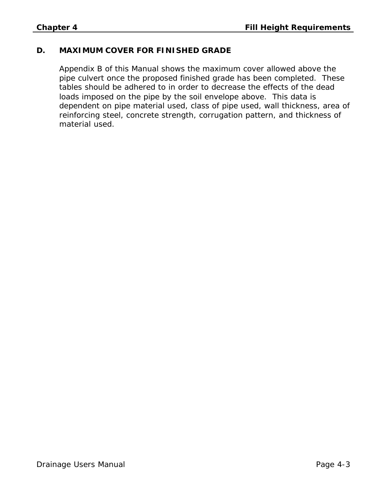#### **D. MAXIMUM COVER FOR FINISHED GRADE**

Appendix B of this Manual shows the maximum cover allowed above the pipe culvert once the proposed finished grade has been completed. These tables should be adhered to in order to decrease the effects of the dead loads imposed on the pipe by the soil envelope above. This data is dependent on pipe material used, class of pipe used, wall thickness, area of reinforcing steel, concrete strength, corrugation pattern, and thickness of material used.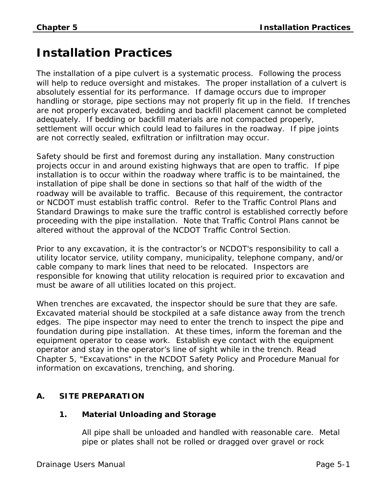# **Installation Practices**

The installation of a pipe culvert is a systematic process. Following the process will help to reduce oversight and mistakes. The proper installation of a culvert is absolutely essential for its performance. If damage occurs due to improper handling or storage, pipe sections may not properly fit up in the field. If trenches are not properly excavated, bedding and backfill placement cannot be completed adequately. If bedding or backfill materials are not compacted properly, settlement will occur which could lead to failures in the roadway. If pipe joints are not correctly sealed, exfiltration or infiltration may occur.

Safety should be first and foremost during any installation. Many construction projects occur in and around existing highways that are open to traffic. If pipe installation is to occur within the roadway where traffic is to be maintained, the installation of pipe shall be done in sections so that half of the width of the roadway will be available to traffic. Because of this requirement, the contractor or NCDOT must establish traffic control. Refer to the Traffic Control Plans and Standard Drawings to make sure the traffic control is established correctly before proceeding with the pipe installation. Note that Traffic Control Plans cannot be altered without the approval of the NCDOT Traffic Control Section.

Prior to any excavation, it is the contractor's or NCDOT's responsibility to call a utility locator service, utility company, municipality, telephone company, and/or cable company to mark lines that need to be relocated. Inspectors are responsible for knowing that utility relocation is required prior to excavation and must be aware of all utilities located on this project.

When trenches are excavated, the inspector should be sure that they are safe. Excavated material should be stockpiled at a safe distance away from the trench edges. The pipe inspector may need to enter the trench to inspect the pipe and foundation during pipe installation. At these times, inform the foreman and the equipment operator to cease work. Establish eye contact with the equipment operator and stay in the operator's line of sight while in the trench. Read Chapter 5, "Excavations" in the NCDOT Safety Policy and Procedure Manual for information on excavations, trenching, and shoring.

# **A. SITE PREPARATION**

#### **1. Material Unloading and Storage**

All pipe shall be unloaded and handled with reasonable care. Metal pipe or plates shall not be rolled or dragged over gravel or rock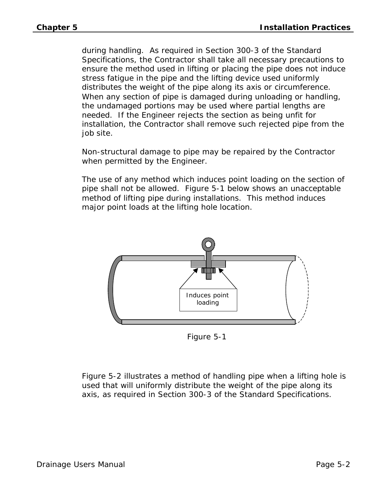during handling. As required in Section 300-3 of the Standard Specifications, the Contractor shall take all necessary precautions to ensure the method used in lifting or placing the pipe does not induce stress fatigue in the pipe and the lifting device used uniformly distributes the weight of the pipe along its axis or circumference. When any section of pipe is damaged during unloading or handling, the undamaged portions may be used where partial lengths are needed. If the Engineer rejects the section as being unfit for installation, the Contractor shall remove such rejected pipe from the job site.

Non-structural damage to pipe may be repaired by the Contractor when permitted by the Engineer.

The use of any method which induces point loading on the section of pipe shall not be allowed. Figure 5-1 below shows an unacceptable method of lifting pipe during installations. This method induces major point loads at the lifting hole location.



Figure 5-1

Figure 5-2 illustrates a method of handling pipe when a lifting hole is used that will uniformly distribute the weight of the pipe along its axis, as required in Section 300-3 of the Standard Specifications.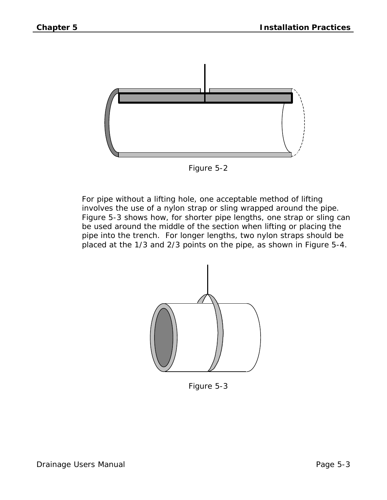



For pipe without a lifting hole, one acceptable method of lifting involves the use of a nylon strap or sling wrapped around the pipe. Figure 5-3 shows how, for shorter pipe lengths, one strap or sling can be used around the middle of the section when lifting or placing the pipe into the trench. For longer lengths, two nylon straps should be placed at the 1/3 and 2/3 points on the pipe, as shown in Figure 5-4.



Figure 5-3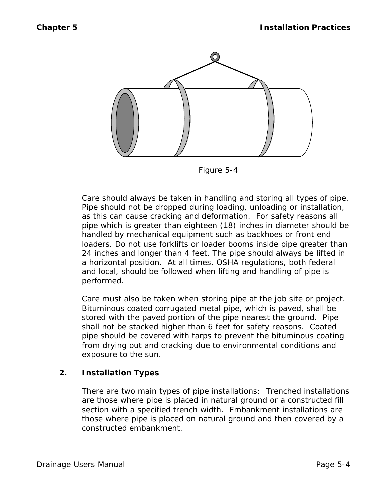

Figure 5-4

Care should always be taken in handling and storing all types of pipe. Pipe should not be dropped during loading, unloading or installation, as this can cause cracking and deformation. For safety reasons all pipe which is greater than eighteen (18) inches in diameter should be handled by mechanical equipment such as backhoes or front end loaders. Do not use forklifts or loader booms inside pipe greater than 24 inches and longer than 4 feet. The pipe should always be lifted in a horizontal position. At all times, OSHA regulations, both federal and local, should be followed when lifting and handling of pipe is performed.

Care must also be taken when storing pipe at the job site or project. Bituminous coated corrugated metal pipe, which is paved, shall be stored with the paved portion of the pipe nearest the ground. Pipe shall not be stacked higher than 6 feet for safety reasons. Coated pipe should be covered with tarps to prevent the bituminous coating from drying out and cracking due to environmental conditions and exposure to the sun.

# **2. Installation Types**

There are two main types of pipe installations: Trenched installations are those where pipe is placed in natural ground or a constructed fill section with a specified trench width. Embankment installations are those where pipe is placed on natural ground and then covered by a constructed embankment.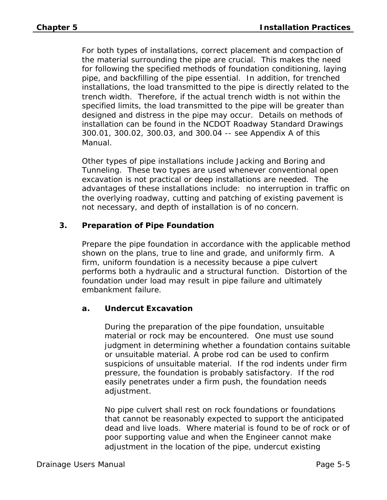For both types of installations, correct placement and compaction of the material surrounding the pipe are crucial. This makes the need for following the specified methods of foundation conditioning, laying pipe, and backfilling of the pipe essential. In addition, for trenched installations, the load transmitted to the pipe is directly related to the trench width. Therefore, if the actual trench width is not within the specified limits, the load transmitted to the pipe will be greater than designed and distress in the pipe may occur. Details on methods of installation can be found in the NCDOT Roadway Standard Drawings 300.01, 300.02, 300.03, and 300.04 -- see Appendix A of this Manual.

Other types of pipe installations include Jacking and Boring and Tunneling. These two types are used whenever conventional open excavation is not practical or deep installations are needed. The advantages of these installations include: no interruption in traffic on the overlying roadway, cutting and patching of existing pavement is not necessary, and depth of installation is of no concern.

## **3. Preparation of Pipe Foundation**

Prepare the pipe foundation in accordance with the applicable method shown on the plans, true to line and grade, and uniformly firm. A firm, uniform foundation is a necessity because a pipe culvert performs both a hydraulic and a structural function. Distortion of the foundation under load may result in pipe failure and ultimately embankment failure.

#### **a. Undercut Excavation**

During the preparation of the pipe foundation, unsuitable material or rock may be encountered. One must use sound judgment in determining whether a foundation contains suitable or unsuitable material. A probe rod can be used to confirm suspicions of unsuitable material. If the rod indents under firm pressure, the foundation is probably satisfactory. If the rod easily penetrates under a firm push, the foundation needs adjustment.

No pipe culvert shall rest on rock foundations or foundations that cannot be reasonably expected to support the anticipated dead and live loads. Where material is found to be of rock or of poor supporting value and when the Engineer cannot make adjustment in the location of the pipe, undercut existing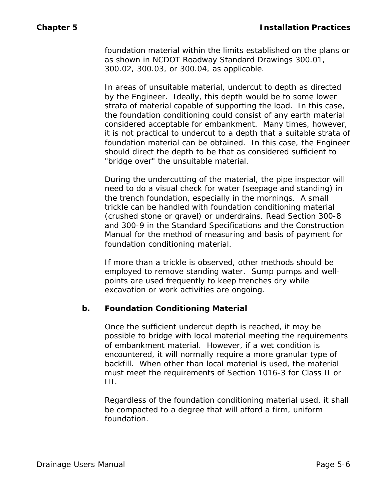foundation material within the limits established on the plans or as shown in NCDOT Roadway Standard Drawings 300.01, 300.02, 300.03, or 300.04, as applicable.

In areas of unsuitable material, undercut to depth as directed by the Engineer. Ideally, this depth would be to some lower strata of material capable of supporting the load. In this case, the foundation conditioning could consist of any earth material considered acceptable for embankment. Many times, however, it is not practical to undercut to a depth that a suitable strata of foundation material can be obtained. In this case, the Engineer should direct the depth to be that as considered sufficient to "bridge over" the unsuitable material.

During the undercutting of the material, the pipe inspector will need to do a visual check for water (seepage and standing) in the trench foundation, especially in the mornings. A small trickle can be handled with foundation conditioning material (crushed stone or gravel) or underdrains. Read Section 300-8 and 300-9 in the Standard Specifications and the Construction Manual for the method of measuring and basis of payment for foundation conditioning material.

If more than a trickle is observed, other methods should be employed to remove standing water. Sump pumps and wellpoints are used frequently to keep trenches dry while excavation or work activities are ongoing.

#### **b. Foundation Conditioning Material**

Once the sufficient undercut depth is reached, it may be possible to bridge with local material meeting the requirements of embankment material. However, if a wet condition is encountered, it will normally require a more granular type of backfill. When other than local material is used, the material must meet the requirements of Section 1016-3 for Class II or III.

Regardless of the foundation conditioning material used, it shall be compacted to a degree that will afford a firm, uniform foundation.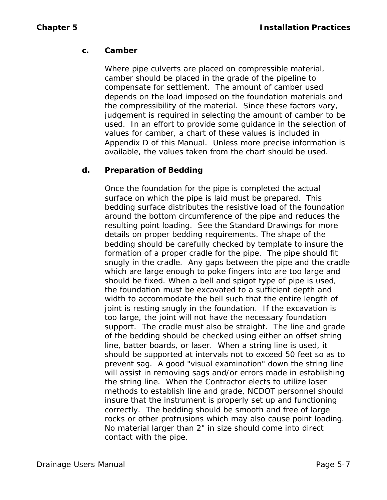# **c. Camber**

Where pipe culverts are placed on compressible material, camber should be placed in the grade of the pipeline to compensate for settlement. The amount of camber used depends on the load imposed on the foundation materials and the compressibility of the material. Since these factors vary, judgement is required in selecting the amount of camber to be used. In an effort to provide some guidance in the selection of values for camber, a chart of these values is included in Appendix D of this Manual. Unless more precise information is available, the values taken from the chart should be used.

## **d. Preparation of Bedding**

Once the foundation for the pipe is completed the actual surface on which the pipe is laid must be prepared. This bedding surface distributes the resistive load of the foundation around the bottom circumference of the pipe and reduces the resulting point loading. See the Standard Drawings for more details on proper bedding requirements. The shape of the bedding should be carefully checked by template to insure the formation of a proper cradle for the pipe. The pipe should fit snugly in the cradle. Any gaps between the pipe and the cradle which are large enough to poke fingers into are too large and should be fixed. When a bell and spigot type of pipe is used, the foundation must be excavated to a sufficient depth and width to accommodate the bell such that the entire length of joint is resting snugly in the foundation. If the excavation is too large, the joint will not have the necessary foundation support. The cradle must also be straight. The line and grade of the bedding should be checked using either an offset string line, batter boards, or laser. When a string line is used, it should be supported at intervals not to exceed 50 feet so as to prevent sag. A good "visual examination" down the string line will assist in removing sags and/or errors made in establishing the string line. When the Contractor elects to utilize laser methods to establish line and grade, NCDOT personnel should insure that the instrument is properly set up and functioning correctly. The bedding should be smooth and free of large rocks or other protrusions which may also cause point loading. No material larger than 2" in size should come into direct contact with the pipe.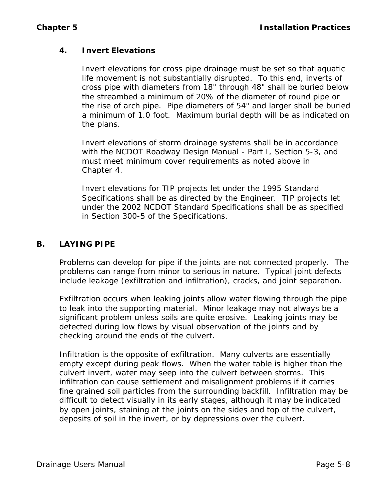#### **4. Invert Elevations**

Invert elevations for cross pipe drainage must be set so that aquatic life movement is not substantially disrupted. To this end, inverts of cross pipe with diameters from 18" through 48" shall be buried below the streambed a minimum of 20% of the diameter of round pipe or the rise of arch pipe. Pipe diameters of 54" and larger shall be buried a minimum of 1.0 foot. Maximum burial depth will be as indicated on the plans.

Invert elevations of storm drainage systems shall be in accordance with the NCDOT Roadway Design Manual - Part I, Section 5-3, and must meet minimum cover requirements as noted above in Chapter 4.

Invert elevations for TIP projects let under the 1995 Standard Specifications shall be as directed by the Engineer. TIP projects let under the 2002 NCDOT Standard Specifications shall be as specified in Section 300-5 of the Specifications.

#### **B. LAYING PIPE**

Problems can develop for pipe if the joints are not connected properly. The problems can range from minor to serious in nature. Typical joint defects include leakage (exfiltration and infiltration), cracks, and joint separation.

Exfiltration occurs when leaking joints allow water flowing through the pipe to leak into the supporting material. Minor leakage may not always be a significant problem unless soils are quite erosive. Leaking joints may be detected during low flows by visual observation of the joints and by checking around the ends of the culvert.

Infiltration is the opposite of exfiltration. Many culverts are essentially empty except during peak flows. When the water table is higher than the culvert invert, water may seep into the culvert between storms. This infiltration can cause settlement and misalignment problems if it carries fine grained soil particles from the surrounding backfill. Infiltration may be difficult to detect visually in its early stages, although it may be indicated by open joints, staining at the joints on the sides and top of the culvert, deposits of soil in the invert, or by depressions over the culvert.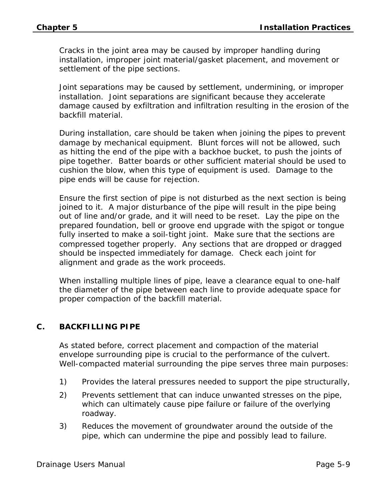Cracks in the joint area may be caused by improper handling during installation, improper joint material/gasket placement, and movement or settlement of the pipe sections.

Joint separations may be caused by settlement, undermining, or improper installation. Joint separations are significant because they accelerate damage caused by exfiltration and infiltration resulting in the erosion of the backfill material.

During installation, care should be taken when joining the pipes to prevent damage by mechanical equipment. Blunt forces will not be allowed, such as hitting the end of the pipe with a backhoe bucket, to push the joints of pipe together. Batter boards or other sufficient material should be used to cushion the blow, when this type of equipment is used. Damage to the pipe ends will be cause for rejection.

Ensure the first section of pipe is not disturbed as the next section is being joined to it. A major disturbance of the pipe will result in the pipe being out of line and/or grade, and it will need to be reset. Lay the pipe on the prepared foundation, bell or groove end upgrade with the spigot or tongue fully inserted to make a soil-tight joint. Make sure that the sections are compressed together properly. Any sections that are dropped or dragged should be inspected immediately for damage. Check each joint for alignment and grade as the work proceeds.

When installing multiple lines of pipe, leave a clearance equal to one-half the diameter of the pipe between each line to provide adequate space for proper compaction of the backfill material.

#### **C. BACKFILLING PIPE**

As stated before, correct placement and compaction of the material envelope surrounding pipe is crucial to the performance of the culvert. Well-compacted material surrounding the pipe serves three main purposes:

- 1) Provides the lateral pressures needed to support the pipe structurally,
- 2) Prevents settlement that can induce unwanted stresses on the pipe, which can ultimately cause pipe failure or failure of the overlying roadway.
- 3) Reduces the movement of groundwater around the outside of the pipe, which can undermine the pipe and possibly lead to failure.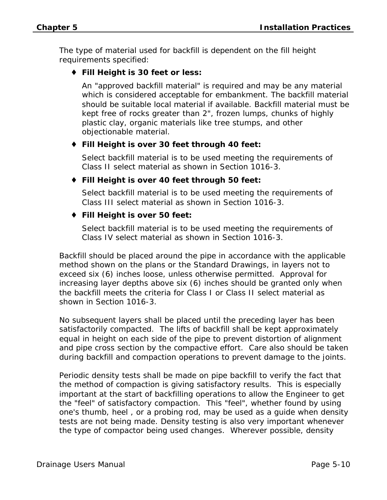The type of material used for backfill is dependent on the fill height requirements specified:

# ♦ **Fill Height is 30 feet or less:**

An "approved backfill material" is required and may be any material which is considered acceptable for embankment. The backfill material should be suitable local material if available. Backfill material must be kept free of rocks greater than 2", frozen lumps, chunks of highly plastic clay, organic materials like tree stumps, and other objectionable material.

## ♦ **Fill Height is over 30 feet through 40 feet:**

Select backfill material is to be used meeting the requirements of Class II select material as shown in Section 1016-3.

## ♦ **Fill Height is over 40 feet through 50 feet:**

Select backfill material is to be used meeting the requirements of Class III select material as shown in Section 1016-3.

## ♦ **Fill Height is over 50 feet:**

Select backfill material is to be used meeting the requirements of Class IV select material as shown in Section 1016-3.

Backfill should be placed around the pipe in accordance with the applicable method shown on the plans or the Standard Drawings, in layers not to exceed six (6) inches loose, unless otherwise permitted. Approval for increasing layer depths above six (6) inches should be granted only when the backfill meets the criteria for Class I or Class II select material as shown in Section 1016-3.

No subsequent layers shall be placed until the preceding layer has been satisfactorily compacted. The lifts of backfill shall be kept approximately equal in height on each side of the pipe to prevent distortion of alignment and pipe cross section by the compactive effort. Care also should be taken during backfill and compaction operations to prevent damage to the joints.

Periodic density tests shall be made on pipe backfill to verify the fact that the method of compaction is giving satisfactory results. This is especially important at the start of backfilling operations to allow the Engineer to get the "feel" of satisfactory compaction. This "feel", whether found by using one's thumb, heel , or a probing rod, may be used as a guide when density tests are not being made. Density testing is also very important whenever the type of compactor being used changes. Wherever possible, density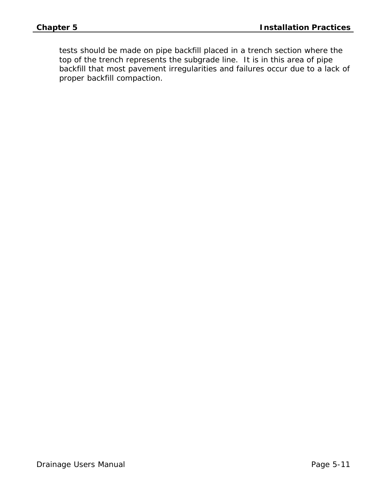tests should be made on pipe backfill placed in a trench section where the top of the trench represents the subgrade line. It is in this area of pipe backfill that most pavement irregularities and failures occur due to a lack of proper backfill compaction.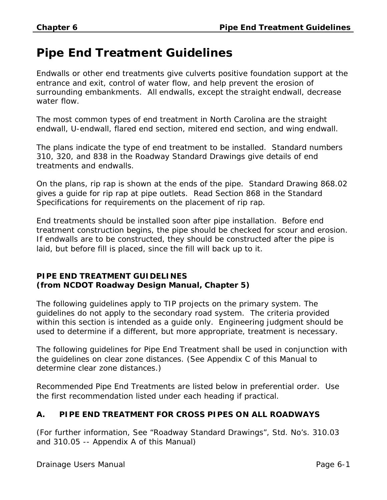# **Pipe End Treatment Guidelines**

Endwalls or other end treatments give culverts positive foundation support at the entrance and exit, control of water flow, and help prevent the erosion of surrounding embankments. All endwalls, except the straight endwall, decrease water flow.

The most common types of end treatment in North Carolina are the straight endwall, U-endwall, flared end section, mitered end section, and wing endwall.

The plans indicate the type of end treatment to be installed. Standard numbers 310, 320, and 838 in the Roadway Standard Drawings give details of end treatments and endwalls.

On the plans, rip rap is shown at the ends of the pipe. Standard Drawing 868.02 gives a guide for rip rap at pipe outlets. Read Section 868 in the Standard Specifications for requirements on the placement of rip rap.

End treatments should be installed soon after pipe installation. Before end treatment construction begins, the pipe should be checked for scour and erosion. If endwalls are to be constructed, they should be constructed after the pipe is laid, but before fill is placed, since the fill will back up to it.

#### **PIPE END TREATMENT GUIDELINES (from NCDOT Roadway Design Manual, Chapter 5)**

The following guidelines apply to TIP projects on the primary system. The guidelines do not apply to the secondary road system. The criteria provided within this section is intended as a guide only. Engineering judgment should be used to determine if a different, but more appropriate, treatment is necessary.

The following guidelines for Pipe End Treatment shall be used in conjunction with the guidelines on clear zone distances. (See Appendix C of this Manual to determine clear zone distances.)

Recommended Pipe End Treatments are listed below in preferential order. Use the first recommendation listed under each heading if practical.

# **A. PIPE END TREATMENT FOR CROSS PIPES ON ALL ROADWAYS**

(For further information, See "Roadway Standard Drawings", Std. No's. 310.03 and 310.05 -- Appendix A of this Manual)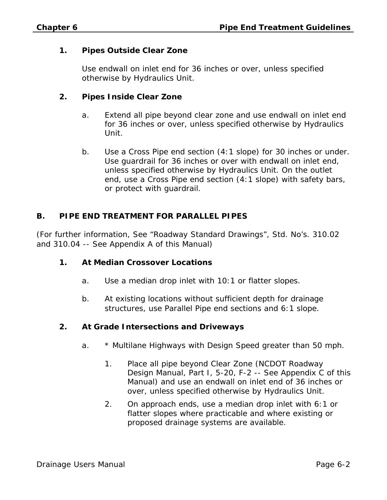#### **1. Pipes Outside Clear Zone**

Use endwall on inlet end for 36 inches or over, unless specified otherwise by Hydraulics Unit.

#### **2. Pipes Inside Clear Zone**

- a. Extend all pipe beyond clear zone and use endwall on inlet end for 36 inches or over, unless specified otherwise by Hydraulics Unit.
- b. Use a Cross Pipe end section (4:1 slope) for 30 inches or under. Use guardrail for 36 inches or over with endwall on inlet end, unless specified otherwise by Hydraulics Unit. On the outlet end, use a Cross Pipe end section (4:1 slope) with safety bars, or protect with guardrail.

#### **B. PIPE END TREATMENT FOR PARALLEL PIPES**

(For further information, See "Roadway Standard Drawings", Std. No's. 310.02 and 310.04 -- See Appendix A of this Manual)

#### **1. At Median Crossover Locations**

- a. Use a median drop inlet with 10:1 or flatter slopes.
- b. At existing locations without sufficient depth for drainage structures, use Parallel Pipe end sections and 6:1 slope.

#### **2. At Grade Intersections and Driveways**

- a. \* Multilane Highways with Design Speed greater than 50 mph.
	- 1. Place all pipe beyond Clear Zone (NCDOT Roadway Design Manual, Part I, 5-20, F-2 -- See Appendix C of this Manual) and use an endwall on inlet end of 36 inches or over, unless specified otherwise by Hydraulics Unit.
	- 2. On approach ends, use a median drop inlet with 6:1 or flatter slopes where practicable and where existing or proposed drainage systems are available.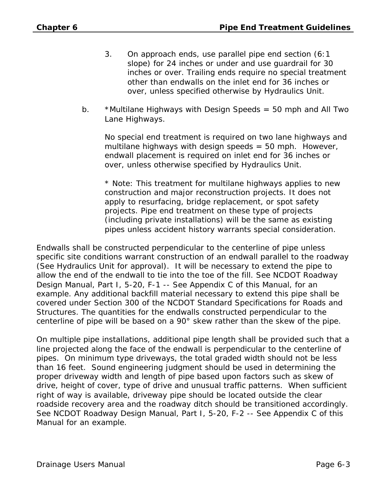- 3. On approach ends, use parallel pipe end section (6:1 slope) for 24 inches or under and use guardrail for 30 inches or over. Trailing ends require no special treatment other than endwalls on the inlet end for 36 inches or over, unless specified otherwise by Hydraulics Unit.
- b. \*Multilane Highways with Design Speeds = 50 mph and All Two Lane Highways.

No special end treatment is required on two lane highways and multilane highways with design speeds  $= 50$  mph. However, endwall placement is required on inlet end for 36 inches or over, unless otherwise specified by Hydraulics Unit.

\* Note: This treatment for multilane highways applies to new construction and major reconstruction projects. It does not apply to resurfacing, bridge replacement, or spot safety projects. Pipe end treatment on these type of projects (including private installations) will be the same as existing pipes unless accident history warrants special consideration.

Endwalls shall be constructed perpendicular to the centerline of pipe unless specific site conditions warrant construction of an endwall parallel to the roadway (See Hydraulics Unit for approval). It will be necessary to extend the pipe to allow the end of the endwall to tie into the toe of the fill. See NCDOT Roadway Design Manual, Part I, 5-20, F-1 -- See Appendix C of this Manual, for an example. Any additional backfill material necessary to extend this pipe shall be covered under Section 300 of the NCDOT Standard Specifications for Roads and Structures. The quantities for the endwalls constructed perpendicular to the centerline of pipe will be based on a 90° skew rather than the skew of the pipe.

On multiple pipe installations, additional pipe length shall be provided such that a line projected along the face of the endwall is perpendicular to the centerline of pipes. On minimum type driveways, the total graded width should not be less than 16 feet. Sound engineering judgment should be used in determining the proper driveway width and length of pipe based upon factors such as skew of drive, height of cover, type of drive and unusual traffic patterns. When sufficient right of way is available, driveway pipe should be located outside the clear roadside recovery area and the roadway ditch should be transitioned accordingly. See NCDOT Roadway Design Manual, Part I, 5-20, F-2 -- See Appendix C of this Manual for an example.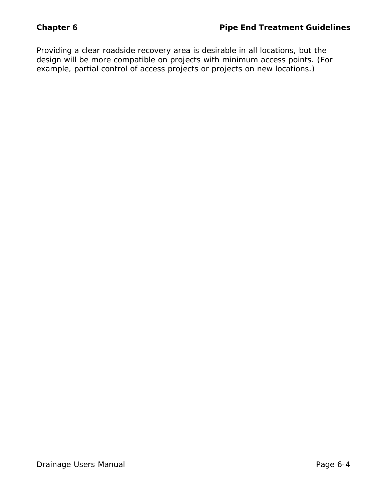Providing a clear roadside recovery area is desirable in all locations, but the design will be more compatible on projects with minimum access points. (For example, partial control of access projects or projects on new locations.)